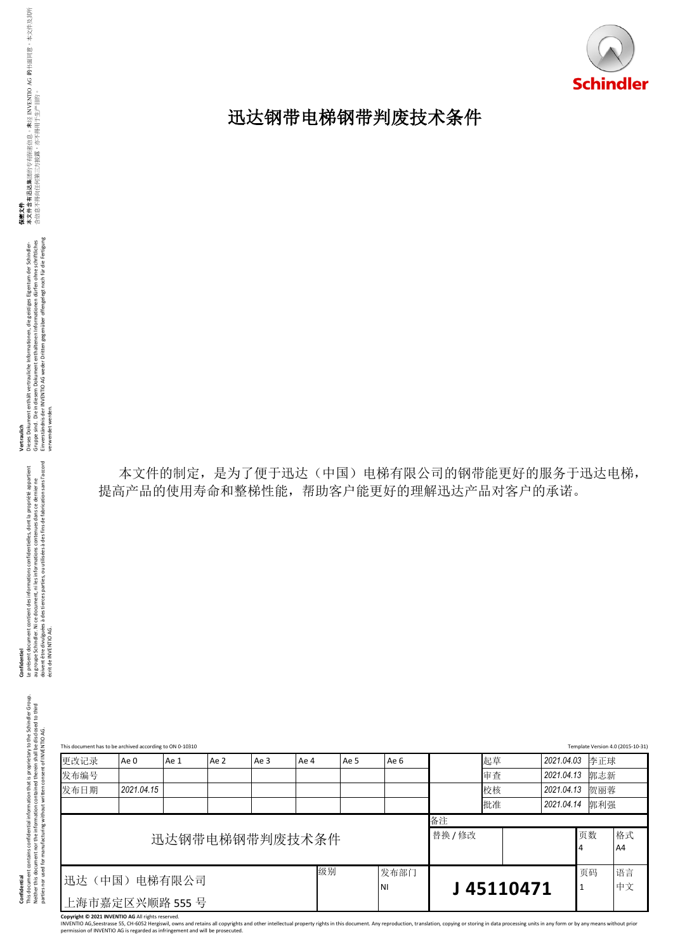

## 迅达钢带电梯钢带判废技术条件

**Vertraulich**<br>Dieses Dokument enthält vertrauliche Informationen, die geistiges Eigentum der Schindler-<br>Gruppe sind . Die in diesen Dokument enthältenen Informationen dürfen ohne schriftliches<br>verwensidet werden INFENTIO A Dieses Dokument enthält vertrauliche Informationen, die geistiges Eigentum der Schindler-<br>Gruppe sind. Die in diesem Dokument enthaltenen Informationen dürfen ohne schriftliches Einverständnis der INVENTIO AG weder Dritten gegenüber offengelegt noch für die Fertigung verwendet werden.

**Confidentiel**<br>Le présent document contient des informations confidentielles, dont la propriété appartient<br>au groupe Schndler. Ni ce document, ni les informations contenues dans ce dernier ne<br>écrit de INVENTIO AG:<br>écrit de doivent être divulguées à des tierces parties, ou utilisées à des fins de fabrication sans l'accord Le présent document contient des informations confidentielles, dont la propriété appartient au groupe Schindler. Ni ce document, ni les informations contenues dans ce dernier ne écrit de INVENTIO AG. **Confidentiel** 

|              | This document has to be archived according to ON 0-10310 |      |      |      |                |      |      |         |          |                          | Template Version 4.0 (2015-10-31 |
|--------------|----------------------------------------------------------|------|------|------|----------------|------|------|---------|----------|--------------------------|----------------------------------|
| 更改记录<br>发布编号 | Ae 0                                                     | Ae 1 | Ae 2 | Ae 3 | Ae 4           | Ae 5 | Ae 6 |         | 起草<br>审查 | 2021.04.03<br>2021.04.13 | 李正球<br>郭志新                       |
| 发布日期         | 2021.04.15                                               |      |      |      |                |      |      |         | 校核       | 2021.04.13               | 贺丽蓉                              |
|              |                                                          |      |      |      |                |      |      |         | 批准       | 2021.04.14               | 郭利强                              |
|              |                                                          |      |      |      |                |      |      | 备注      |          |                          |                                  |
|              |                                                          |      |      |      | 迅达钢带电梯钢带判废技术条件 |      |      | 替换 / 修改 |          |                          | 页数<br>4                          |
|              | 级别<br>发布部门<br>电梯有限公司<br>迅达(中国)                           |      |      |      |                |      |      |         | 页码       |                          |                                  |

Copyright © 2021 INVENTIO AG All rights reserved.<br>INVENTIO AG,Seestrasse 55, CH-6052 Hergiswil, owns and retains all copyrights and other intellectual property rights in this document. Any reproduction, translation, copyin

本文件的制定,是为了便于迅达(中国)电梯有限公司的钢带能更好的服务于迅达电梯, 提高产品的使用寿命和整梯性能,帮助客户能更好的理解迅达产品对客户的承诺。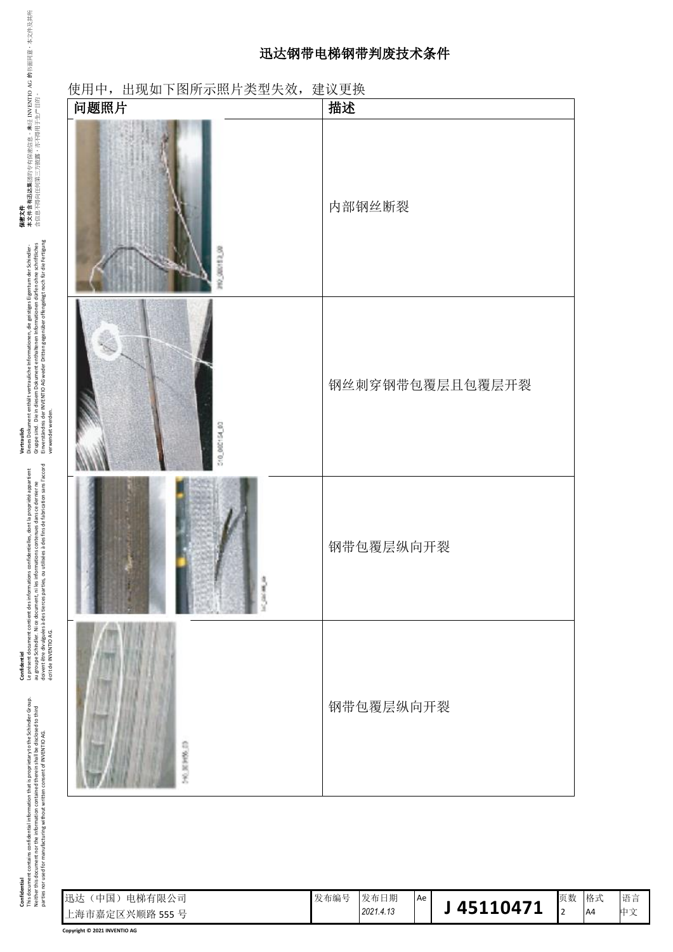## 迅达钢带电梯钢带判废技术条件

| 问题照片            | 描述              |
|-----------------|-----------------|
| <b>CERCITES</b> | 内部钢丝断裂          |
| 310_000154_03   | 钢丝刺穿钢带包覆层且包覆层开裂 |
|                 | 钢带包覆层纵向开裂       |
| 590 BERRED      | 钢带包覆层纵向开裂       |

Confidential<br>This document contains confidential information contained therein shall be disclosed to third<br>parties nor used for manufacturing without written consent of INVENTIO AG.<br>parties nor used for manufacturing witho This document contains confidential information that is proprietary to the Schindler Group. Neither this document nor the information contained therein shall be disclosed to third parties nor used for manufacturing without written consent of INVENTIO AG. **Confidential**

**Confidentiel** 

écrit de INVENTIO AG.

Le présent document contient des informations confidentielles, dont la propriété appartient au groupe Schindler. Ni ce document, ni les informations contenues dans ce dernier ne doivent être divulguées à des tierces parties, ou utilisées à des fins de fabrication sans l'accord

Confidentel<br>Le présent document contient des informations confidentielles, dont la propriété appartient<br>au groupe Schindler. Ni ce document, ni les informations contenues dans ce dernier ne<br>écrit de INVENTO AGs à des tierc

**Vertraulich**<br>Dieses Dokument enthält vertrauliche informationen, die geistiges Eigentum der Schindler-<br>Gruppe sind. Die in diesem Dokument enthältenen informationen dürfen ohne schriftliches<br>verwendet werden (NSNTIO AG we Dieses Dokument enthält vertrauliche Informationen, die geistiges Eigentum der Schindler-<br>Gruppe sind. Die in diesem Dokument enthaltenen Informationen dürfen ohne schriftliches Einverständnis der INVENTIO AG weder Dritten gegenüber offengelegt noch für die Fertigung

**保密文件**<br>本文件含有迅达集团的专有保密信息。<br>全性自军得台巴西等三主世家,主军得

未<br>经<br>H

含信息不得向任何第三方披露,亦不得用于生产目的。

经 INVENTIO AG 86书画同源• 林文件及其所

verwendet werden.

| 中国)<br>电梯有限公司<br> 迅达 | 发布编号 | 发布日期      | Ae |          | 页数 | - 格式           | 语言           |
|----------------------|------|-----------|----|----------|----|----------------|--------------|
| 上海市嘉定区兴顺路 555号       |      | 2021.4.13 |    | 45110471 |    | A <sup>4</sup> | 中立<br>$\sim$ |

**Copyright © 2021 INVENTIO AG**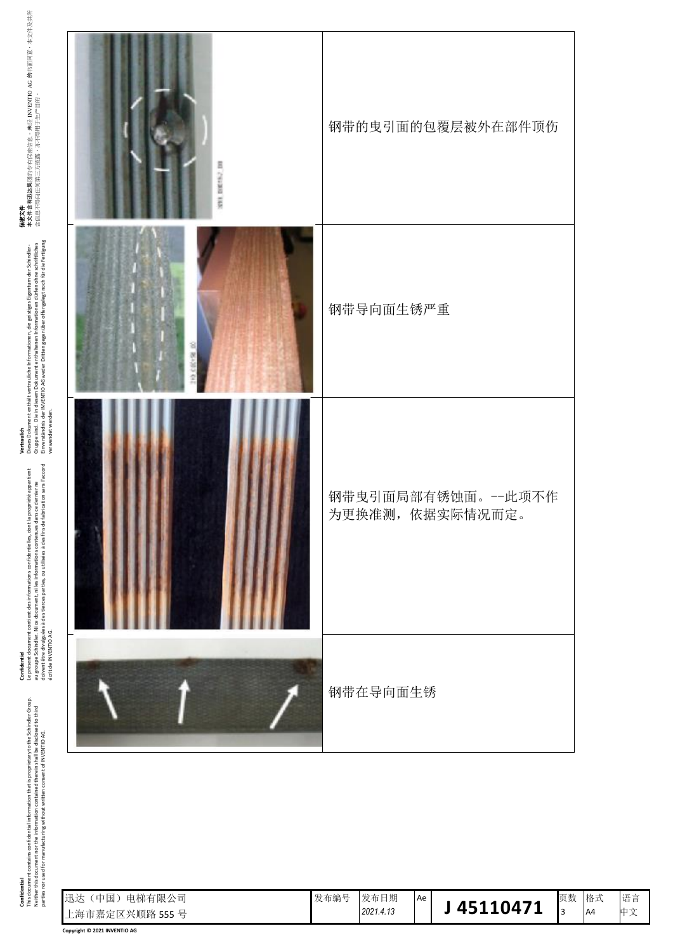| Confidential                                                                              | Confidentiel                                        |
|-------------------------------------------------------------------------------------------|-----------------------------------------------------|
| is document contains confidential information that is proprietary to the Schindler Group. | Le présent document contient des informations co    |
| Neither this document nor the information contained therein shall be disclosed to third   | au groupe Schindler. Ni ce document, ni les inform  |
| parties nor used for manufacturing without written consent of INVENTIO AG.                | doivent être divulguées à des tierces parties, ou u |
|                                                                                           |                                                     |

confidentielles, dont la propriété appartient<br>mations contenues dans ce dernier ne<br>utilisées à des fins de fabrication sans l'accord doivent être divulguées à des tierces parties, ou utilisées à des fins de fabrication sans l'accord Le présent document contient des informations confidentielles, dont la propriété appartient au groupe Schindler. Ni ce document, ni les informations contenues dans ce dernier ne écrit de INVENTIO AG. écrit de INVENTIO AG.

**Vertraulich**<br>Dieses Dokument enthält vertrauliche Informationen, die gestiges Eigentum der Schindler-<br>Gruppe sind. Die in diesem Dokument enthältenen Informationen dürfen ohne schriftliches<br>verwendet werden (WSNTIO AG wed Dieses Dokument enthält vertrauliche Informationen, die geistiges Eigentum der Schindler-<br>Gruppe sind. Die in diesem Dokument enthaltenen Informationen dürfen ohne schriftliches Einverständnis der INVENTIO AG weder Dritten gegenüber offengelegt noch für die Fertigung verwendet werden.

**保密文件**<br>本文件含有迅达集团的专有保密信息。未经 INVENTIO AG 的书面同意,本文件及其所<br>合信息不得向任何第三方披露,亦不得用于生产目的。 保密文件<br>本文件合格<br>本文件包括基本文件合格(The Protect) 含信息不得向任何第三方披露,亦不得用于生产目的。

| SNI DIESO IN | 钢带的曳引面的包覆层被外在部件顶伤                     |
|--------------|---------------------------------------|
| 8            | 钢带导向面生锈严重                             |
|              | 钢带曳引面局部有锈蚀面。一此项不作<br>为更换准测, 依据实际情况而定。 |
|              | 钢带在导向面生锈                              |

| 迅达<br>电梯有限公司<br>中国<br>上海市嘉定区兴顺路 555号 | 发布编号 | 发布日期<br>2021.4.13 | Ae | 45110471 | 页数 | 格式<br>A4 | 语言<br>- 111 T<br>∼ |
|--------------------------------------|------|-------------------|----|----------|----|----------|--------------------|
|--------------------------------------|------|-------------------|----|----------|----|----------|--------------------|